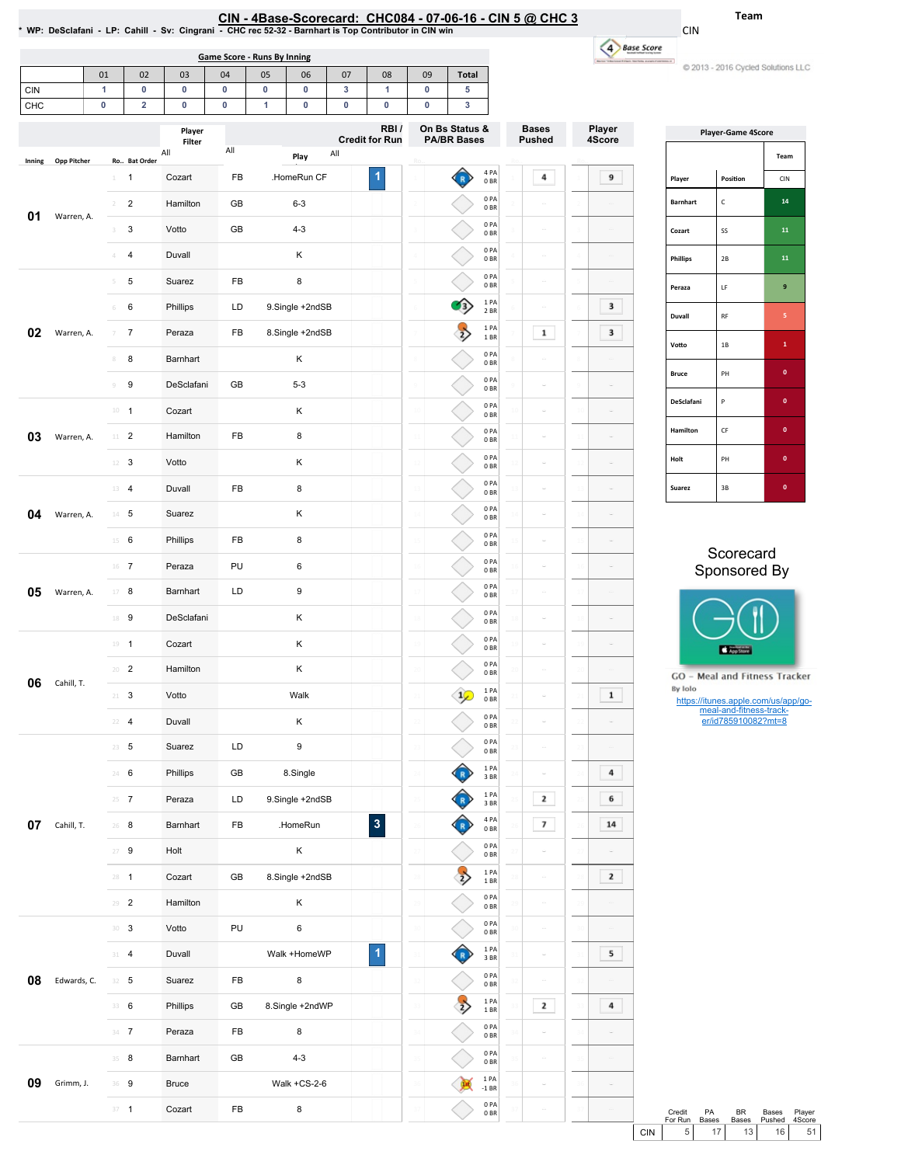0PA 0BR 0PA 0BR 0PA 0BR  $\begin{array}{c} 1 \text{ PA} \\ 2 \text{ BR} \end{array}$  $\begin{array}{c} 1 \ \text{PA} \ 1 \ \text{BR} \end{array}$ 

 $\left\langle \cdot \right\rangle$ 

 $\Rightarrow$ ∧

 $\overline{4}$ 

 $\omega$ 

 $\omega$ 

 $\begin{array}{|c|} \hline \textbf{1} \end{array}$ 

Ro..

Player 4Score

 $\boldsymbol{9}$ 

 $\bar{\omega}$ 

 $\bar{c}$ 

 $\overline{\phantom{a}}$ 

 $\mathbf{3}$ 

 $\overline{\phantom{a}}$ 

EIN - 4Base-Scorecard: CHC084 - 07-06-16 - CIN 5 @ CHC 3<br>\* WP: DeSclafani - LP: Cahill - Sv: Cingrani - CHC rec 52-32 - Barnhart is Top Contributor in CIN win

3 3 Votto GB 4-3 4 4 Duvall K

5 5 Suarez FB 8

6 6 Phillips LD 9.Single+2ndSB

Peraza FB 8.Single +2ndSB

01 Warren, A.

**02** Warren, A. 7 7

Team

| 4 Base Score |                                    |
|--------------|------------------------------------|
|              |                                    |
|              | C 2013 - 2016 Cycled Solutions LLC |

CIN

|                       |    |                |                  | Game Score - Runs By Inning |    |             |     |                               |    |                                      |                        |                               |   |
|-----------------------|----|----------------|------------------|-----------------------------|----|-------------|-----|-------------------------------|----|--------------------------------------|------------------------|-------------------------------|---|
|                       | 01 | 02             | 03               | 04                          | 05 | 06          | 07  | 08                            | 09 | <b>Total</b>                         |                        |                               |   |
| <b>CIN</b>            |    | 0              | 0                | 0                           | 0  | 0           | 3   |                               | 0  | 5                                    |                        |                               |   |
| CHC                   | 0  | $\overline{2}$ | 0                | 0                           |    | 0           | 0   | n                             | 0  | 3                                    |                        |                               |   |
|                       |    |                | Player<br>Filter |                             |    |             |     | RBI/<br><b>Credit for Run</b> |    | On Bs Status &<br><b>PA/BR Bases</b> |                        | <b>Bases</b><br><b>Pushed</b> |   |
| Inning<br>Opp Pitcher |    | Ro., Bat Order | All              | All                         |    | Play        | All |                               | Ro |                                      |                        |                               |   |
|                       |    | 1<br>1.        | Cozart           | <b>FB</b>                   |    | .HomeRun CF |     |                               |    |                                      | 4PA<br>0 <sub>BR</sub> |                               | 4 |
|                       | 2  | $\overline{2}$ | Hamilton         | GB                          |    | $6 - 3$     |     |                               |    |                                      | 0PA<br>0 <sub>BR</sub> | <b>Girl</b>                   |   |

|                 | <b>Player-Game 4Score</b> |                         |
|-----------------|---------------------------|-------------------------|
|                 |                           | Team                    |
| Player          | Position                  | <b>CIN</b>              |
| <b>Barnhart</b> | C                         | 14                      |
| Cozart          | SS                        | 11                      |
| <b>Phillips</b> | 2B                        | 11                      |
| Peraza          | LF                        | 9                       |
| Duvall          | <b>RF</b>                 | $\overline{\mathbf{5}}$ |
| Votto           | 1B                        | $\mathbf{1}$            |
| <b>Bruce</b>    | PH                        | $\mathbf{0}$            |
| DeSclafani      | P                         | $\mathbf{0}$            |
| Hamilton        | CF                        | $\mathbf{0}$            |
| Holt            | PH                        | $\mathbf{0}$            |
| Suarez          | 3B                        | $\bf{0}$                |

### **Scorecard** Sponsored By



**GO** - Meal and Fitness Tracker By Iolo

https://itunes.apple.com/us/app/go-meal-and-fitness-track-er/id785910082?mt=8

|    |             | 8  | 8              | Barnhart     |            | Κ               |              |    |               | 0PA<br>0 <sub>BR</sub>                  |                         |                      |
|----|-------------|----|----------------|--------------|------------|-----------------|--------------|----|---------------|-----------------------------------------|-------------------------|----------------------|
|    |             | 9  | 9              | DeSclafani   | GB         | $5 - 3$         |              |    |               | 0PA<br>0B                               |                         |                      |
|    |             |    | $10 - 1$       | Cozart       |            | Κ               |              |    |               | 0 PA<br>0B                              |                         |                      |
| 03 | Warren, A.  | 11 | $\overline{2}$ | Hamilton     | FB         | 8               |              |    |               | 0PA<br>0B                               |                         |                      |
|    |             |    | $12 \t3$       | Votto        |            | Κ               |              |    |               | 0PA<br>0B                               |                         | c                    |
|    |             |    | 13 4           | Duvall       | FB         | 8               |              |    |               | 0PA<br>0B                               | $\sim$                  | c                    |
| 04 | Warren, A.  |    | $14$ 5         | Suarez       |            | κ               |              |    |               | 0 PA<br>0 <sub>BR</sub>                 |                         | $\bar{a}$            |
|    |             |    | $15 \t 6$      | Phillips     | FB         | 8               |              |    |               | 0 PA<br>0 <sub>BR</sub>                 |                         |                      |
|    |             |    | $16$ 7         | Peraza       | PU         | 6               |              |    |               | 0PA<br>0B                               |                         | G.                   |
| 05 | Warren, A.  |    | 17 8           | Barnhart     | LD         | 9               |              |    |               | 0PA<br>0 BR                             |                         | Ġ.                   |
|    |             |    | 18 9           | DeSclafani   |            | Κ               |              |    |               | 0PA<br>0B                               |                         | $\sim$               |
|    |             |    | $19 - 1$       | Cozart       |            | Κ               |              |    |               | 0PA<br>0 <sub>BR</sub>                  |                         |                      |
|    |             |    | $20 - 2$       | Hamilton     |            | κ               |              |    |               | 0PA<br>0B                               |                         | $\bar{a}$            |
| 06 | Cahill, T.  |    | $21 - 3$       | Votto        |            | Walk            |              |    | $\frac{1}{2}$ | 1 PA<br>0B                              |                         | 1                    |
|    |             |    | $22 - 4$       | Duvall       |            | Κ               |              |    |               | 0 PA<br>0BR                             |                         |                      |
|    |             |    | $23 \t 5$      | Suarez       | LD         | 9               |              |    |               | 0PA<br>0B                               |                         |                      |
|    |             |    | 24 6           | Phillips     | GB         | 8.Single        |              |    |               | 1PA<br>3BR                              |                         | 4                    |
|    |             |    | $25 \t 7$      | Peraza       | LD         | 9.Single +2ndSB |              |    |               | 1PA<br>3 BR                             | 2                       | 6                    |
| 07 | Cahill, T.  |    | $26$ 8         | Barnhart     | FB         | .HomeRun        | $\mathbf{3}$ | 26 |               | 4 PA<br>0B                              | $\overline{\mathbf{z}}$ | 14                   |
|    |             | 27 | 9              | Holt         |            | Κ               |              |    |               | 0PA<br>0B                               |                         |                      |
|    |             |    | $28 - 1$       | Cozart       | GB         | 8.Single +2ndSB |              |    | $\frac{1}{2}$ | 1 PA<br>$1\,\mathrm{BR}$                | $\bar{m}$               | 2                    |
|    |             |    | $29 - 2$       | Hamilton     |            | κ               |              |    |               | 0 PA<br>0 BR                            |                         |                      |
|    |             | 30 | 3              | Votto        | PU         | 6               |              |    |               | 0 PA<br>0 <sub>BR</sub>                 |                         | i.                   |
|    |             | 31 | 4              | Duvall       |            | Walk +HomeWP    | 1            |    |               | 1PA<br>3 BR                             |                         | 5                    |
| 08 | Edwards, C. |    | $32 - 5$       | Suarez       | FB         | 8               |              |    |               | 0PA<br>0B                               |                         |                      |
|    |             |    | 6              | Phillips     | GB         | 8.Single +2ndWP |              |    | 少             | 1PA<br>1 BR                             | 2                       | 4                    |
|    |             |    | $34 - 7$       | Peraza       | FB         | 8               |              | 34 |               | $0$ PA<br>$0\;\ensuremath{\mathsf{BR}}$ |                         |                      |
|    |             |    | $35 - 8$       | Barnhart     | GB         | $4 - 3$         |              | 35 |               | $0$ PA<br>$0\;\mathrm{BR}$              |                         | $\sim$               |
| 09 | Grimm, J.   |    | 36 9           | <b>Bruce</b> |            | Walk +CS-2-6    |              | 36 |               | $1\ \mathsf{PA}$<br>$-1$ BR             |                         | $\bar{t}_{\rm{max}}$ |
|    |             |    | $37 - 1$       | Cozart       | ${\sf FB}$ | $\bf8$          |              |    |               | 0 PA<br>$0\;\mathrm{BR}$                |                         |                      |

Credit ForRun PA Bases BR  $\begin{array}{c}\n\text{Bases} \\
13\n\end{array}$ Bases Pushed Player 4Score  $CIN$  5 17 13 16 51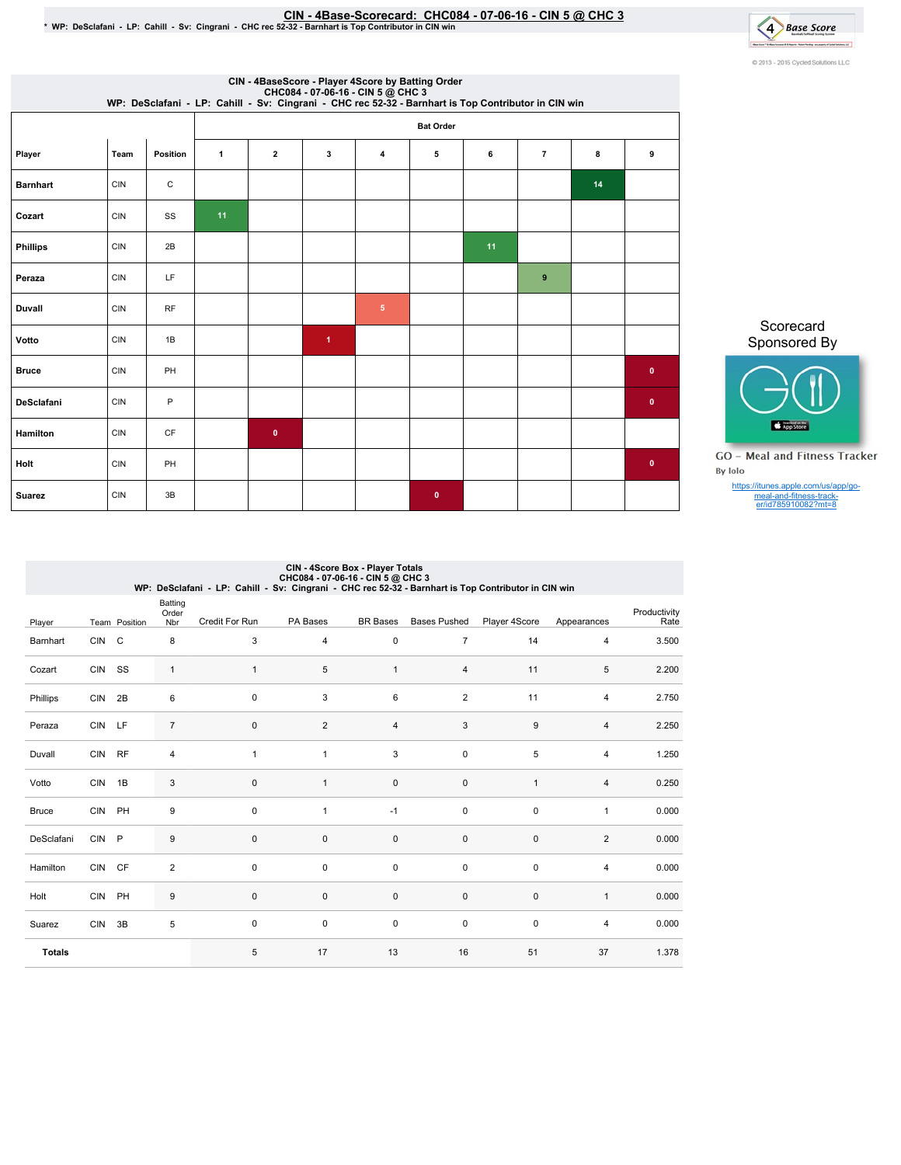## EIN - 4Base-Scorecard: CHC084 - 07-06-16 - CIN 5 @ CHC 3 صere w. CHC rec 52-32 - Barnhart is Top Contributor in CIN win

4 Base Score to politically and the plant state C 2013 - 2016 Cycled Solutions LLC

|                 | CIN - 4BaseScore - Player 4Score by Batting Order<br>CHC084 - 07-06-16 - CIN 5 @ CHC 3<br>WP: DeSclafani - LP: Cahill - Sv: Cingrani - CHC rec 52-32 - Barnhart is Top Contributor in CIN win |           |              |                  |                      |            |              |    |                |    |           |  |  |  |
|-----------------|-----------------------------------------------------------------------------------------------------------------------------------------------------------------------------------------------|-----------|--------------|------------------|----------------------|------------|--------------|----|----------------|----|-----------|--|--|--|
|                 |                                                                                                                                                                                               |           |              | <b>Bat Order</b> |                      |            |              |    |                |    |           |  |  |  |
| Player          | Team                                                                                                                                                                                          | Position  | $\mathbf{1}$ | $\overline{2}$   | 3                    | 4          | 5            | 6  | $\overline{7}$ | 8  | 9         |  |  |  |
| <b>Barnhart</b> | <b>CIN</b>                                                                                                                                                                                    | C         |              |                  |                      |            |              |    |                | 14 |           |  |  |  |
| Cozart          | <b>CIN</b>                                                                                                                                                                                    | SS        | 11           |                  |                      |            |              |    |                |    |           |  |  |  |
| <b>Phillips</b> | <b>CIN</b>                                                                                                                                                                                    | 2B        |              |                  |                      |            |              | 11 |                |    |           |  |  |  |
| Peraza          | <b>CIN</b>                                                                                                                                                                                    | LF        |              |                  |                      |            |              |    | 9              |    |           |  |  |  |
| <b>Duvall</b>   | <b>CIN</b>                                                                                                                                                                                    | <b>RF</b> |              |                  |                      | $\sqrt{5}$ |              |    |                |    |           |  |  |  |
| Votto           | <b>CIN</b>                                                                                                                                                                                    | 1B        |              |                  | $\blacktriangleleft$ |            |              |    |                |    |           |  |  |  |
| <b>Bruce</b>    | <b>CIN</b>                                                                                                                                                                                    | PH        |              |                  |                      |            |              |    |                |    | $\bullet$ |  |  |  |
| DeSclafani      | <b>CIN</b>                                                                                                                                                                                    | P         |              |                  |                      |            |              |    |                |    | $\bullet$ |  |  |  |
| Hamilton        | <b>CIN</b>                                                                                                                                                                                    | CF        |              | $\pmb{0}$        |                      |            |              |    |                |    |           |  |  |  |
| Holt            | <b>CIN</b>                                                                                                                                                                                    | PH        |              |                  |                      |            |              |    |                |    | $\bullet$ |  |  |  |
| <b>Suarez</b>   | <b>CIN</b>                                                                                                                                                                                    | 3B        |              |                  |                      |            | $\mathbf{0}$ |    |                |    |           |  |  |  |

Scorecard Sponsored By



**GO** - Meal and Fitness Tracker By Iolo

https://itunes.apple.com/us/app/go-meal-and-fitness-track-er/id785910082?mt=8

# CIN - 4Score Box - Player Totals<br>CHC084 - 07-064-16 - CHC SPORT<br>WP: DeSclafani - LP: Cahill - Sv: Cingrani - CHC rec 52-32 - Barnhart is Top Contributor in CIN win

Batting

| Player        |            | Team Position | Datung<br>Order<br>Nbr    | Credit For Run | PA Bases       | <b>BR</b> Bases | <b>Bases Pushed</b>     | Player 4Score | Appearances    | Productivity<br>Rate |
|---------------|------------|---------------|---------------------------|----------------|----------------|-----------------|-------------------------|---------------|----------------|----------------------|
| Barnhart      | CIN C      |               | 8                         | 3              | 4              | $\pmb{0}$       | $\overline{7}$          | 14            | $\overline{4}$ | 3.500                |
| Cozart        | CIN SS     |               | $\mathbf{1}$              | $\mathbf{1}$   | 5              | $\mathbf{1}$    | $\overline{\mathbf{4}}$ | 11            | 5              | 2.200                |
| Phillips      | <b>CIN</b> | 2B            | 6                         | $\pmb{0}$      | 3              | 6               | $\boldsymbol{2}$        | 11            | 4              | 2.750                |
| Peraza        | CIN LF     |               | $\overline{7}$            | $\pmb{0}$      | $\overline{2}$ | $\overline{4}$  | 3                       | 9             | 4              | 2.250                |
| Duvall        | <b>CIN</b> | <b>RF</b>     | 4                         | $\mathbf{1}$   | 1              | 3               | $\pmb{0}$               | 5             | 4              | 1.250                |
| Votto         | <b>CIN</b> | 1B            | $\ensuremath{\mathsf{3}}$ | $\pmb{0}$      | $\mathbf{1}$   | $\pmb{0}$       | $\pmb{0}$               | $\mathbf{1}$  | $\sqrt{4}$     | 0.250                |
| <b>Bruce</b>  | CIN PH     |               | 9                         | $\pmb{0}$      | $\mathbf{1}$   | $-1$            | $\pmb{0}$               | $\pmb{0}$     | $\mathbf{1}$   | 0.000                |
| DeSclafani    | CIN P      |               | 9                         | $\pmb{0}$      | $\mathbf 0$    | $\pmb{0}$       | $\pmb{0}$               | $\pmb{0}$     | $\overline{c}$ | 0.000                |
| Hamilton      | CIN CF     |               | $\boldsymbol{2}$          | $\pmb{0}$      | $\mathsf 0$    | $\pmb{0}$       | $\pmb{0}$               | $\pmb{0}$     | 4              | 0.000                |
| Holt          | <b>CIN</b> | PH            | 9                         | $\pmb{0}$      | $\mathbf 0$    | $\pmb{0}$       | $\pmb{0}$               | $\pmb{0}$     | $\mathbf{1}$   | 0.000                |
| Suarez        | <b>CIN</b> | 3B            | 5                         | $\pmb{0}$      | $\pmb{0}$      | $\pmb{0}$       | $\pmb{0}$               | $\pmb{0}$     | $\overline{4}$ | 0.000                |
| <b>Totals</b> |            |               |                           | 5              | 17             | 13              | 16                      | 51            | 37             | 1.378                |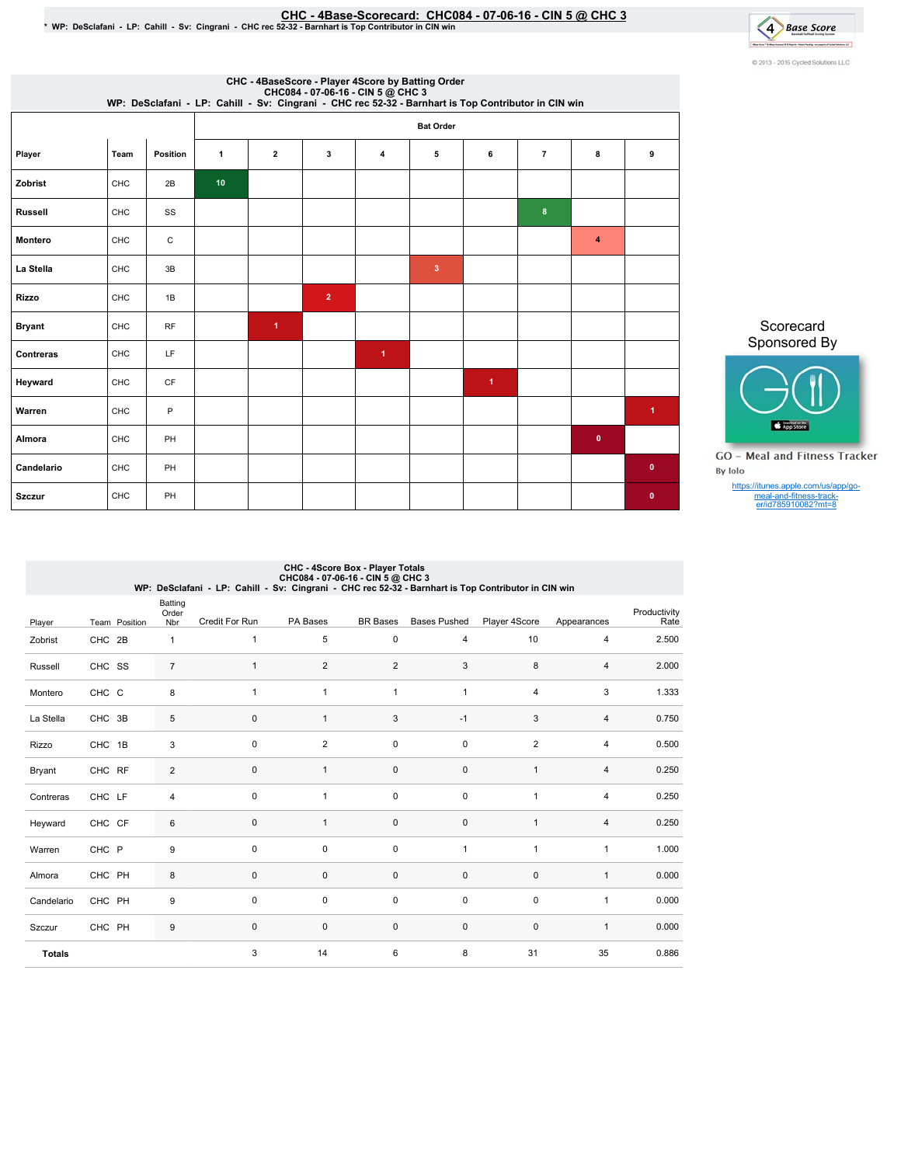## CHC-4Base-Scorecard:CHC084-07-06-16-CIN5@ CHC3 \*WP:DeSclafani-LP:Cahill-Sv:Cingrani-CHCrec52-32-BarnhartisTopContributorinCINwin



|                | CHC - 4BaseScore - Player 4Score by Batting Order<br>CHC084 - 07-06-16 - CIN 5 @ CHC 3<br>WP: DeSclafani - LP: Cahill - Sv: Cingrani - CHC rec 52-32 - Barnhart is Top Contributor in CIN win |             |                 |                         |                |                      |                |                      |                |                |                      |  |  |  |
|----------------|-----------------------------------------------------------------------------------------------------------------------------------------------------------------------------------------------|-------------|-----------------|-------------------------|----------------|----------------------|----------------|----------------------|----------------|----------------|----------------------|--|--|--|
|                |                                                                                                                                                                                               |             |                 | <b>Bat Order</b>        |                |                      |                |                      |                |                |                      |  |  |  |
| Player         | Team                                                                                                                                                                                          | Position    | 1               | $\overline{\mathbf{2}}$ | 3              | 4                    | 5              | 6                    | $\overline{7}$ | 8              | 9                    |  |  |  |
| Zobrist        | CHC                                                                                                                                                                                           | 2B          | 10 <sub>1</sub> |                         |                |                      |                |                      |                |                |                      |  |  |  |
| <b>Russell</b> | CHC                                                                                                                                                                                           | SS          |                 |                         |                |                      |                |                      | 8              |                |                      |  |  |  |
| <b>Montero</b> | CHC                                                                                                                                                                                           | $\mathsf C$ |                 |                         |                |                      |                |                      |                | $\overline{4}$ |                      |  |  |  |
| La Stella      | CHC                                                                                                                                                                                           | 3B          |                 |                         |                |                      | $\overline{3}$ |                      |                |                |                      |  |  |  |
| <b>Rizzo</b>   | CHC                                                                                                                                                                                           | 1B          |                 |                         | $\overline{2}$ |                      |                |                      |                |                |                      |  |  |  |
| <b>Bryant</b>  | CHC                                                                                                                                                                                           | RF          |                 | $\blacktriangleleft$    |                |                      |                |                      |                |                |                      |  |  |  |
| Contreras      | CHC                                                                                                                                                                                           | LF          |                 |                         |                | $\blacktriangleleft$ |                |                      |                |                |                      |  |  |  |
| Heyward        | CHC                                                                                                                                                                                           | CF          |                 |                         |                |                      |                | $\blacktriangleleft$ |                |                |                      |  |  |  |
| Warren         | CHC                                                                                                                                                                                           | P           |                 |                         |                |                      |                |                      |                |                | $\blacktriangleleft$ |  |  |  |
| Almora         | CHC                                                                                                                                                                                           | PH          |                 |                         |                |                      |                |                      |                | $\bullet$      |                      |  |  |  |
| Candelario     | CHC                                                                                                                                                                                           | PH          |                 |                         |                |                      |                |                      |                |                | $\bullet$            |  |  |  |
| <b>Szczur</b>  | CHC                                                                                                                                                                                           | PH          |                 |                         |                |                      |                |                      |                |                | $\mathbf{0}$         |  |  |  |

Scorecard Sponsored By



**GO** - Meal and Fitness Tracker By Iolo

https://itunes.apple.com/us/app/go-meal-and-fitness-track-er/id785910082?mt=8

## CHC - 4Score Box - Player Totals<br>CHC084 - 07-06-06 CHC 52-05<br>WP: DeSclafani - LP: Cahill - Sv: Cingrani - CHC rec 52-32 - Barnhart is Top Contributor in CIN win

|               |               | Batting<br>Order |                |                |                 |                     |                |                | Productivity |
|---------------|---------------|------------------|----------------|----------------|-----------------|---------------------|----------------|----------------|--------------|
| Player        | Team Position | Nbr              | Credit For Run | PA Bases       | <b>BR</b> Bases | <b>Bases Pushed</b> | Player 4Score  | Appearances    | Rate         |
| Zobrist       | CHC 2B        | $\mathbf{1}$     | $\mathbf{1}$   | 5              | $\pmb{0}$       | 4                   | 10             | $\overline{4}$ | 2.500        |
| Russell       | CHC SS        | $\overline{7}$   | $\mathbf{1}$   | $\overline{2}$ | 2               | 3                   | 8              | $\overline{4}$ | 2.000        |
| Montero       | CHC C         | 8                | $\mathbf{1}$   | 1              | $\mathbf{1}$    | $\mathbf{1}$        | $\overline{4}$ | 3              | 1.333        |
| La Stella     | CHC 3B        | 5                | $\mathbf 0$    | 1              | 3               | $-1$                | 3              | $\overline{4}$ | 0.750        |
| Rizzo         | CHC 1B        | 3                | $\pmb{0}$      | $\overline{2}$ | $\pmb{0}$       | $\pmb{0}$           | $\overline{2}$ | 4              | 0.500        |
| Bryant        | CHC RF        | $\overline{c}$   | $\pmb{0}$      | $\mathbf{1}$   | $\pmb{0}$       | $\pmb{0}$           | $\mathbf{1}$   | $\overline{4}$ | 0.250        |
| Contreras     | CHC LF        | 4                | $\mathbf 0$    | $\mathbf{1}$   | $\mathbf 0$     | $\mathbf 0$         | $\mathbf{1}$   | $\overline{4}$ | 0.250        |
| Heyward       | CHC CF        | 6                | 0              | $\mathbf{1}$   | $\pmb{0}$       | $\pmb{0}$           | $\mathbf{1}$   | $\overline{4}$ | 0.250        |
| Warren        | CHC P         | 9                | $\pmb{0}$      | $\mathbf 0$    | $\mathbf 0$     | $\mathbf{1}$        | 1              | $\mathbf{1}$   | 1.000        |
| Almora        | CHC PH        | 8                | $\mathbf 0$    | $\mathbf 0$    | $\mathbf 0$     | $\mathbf 0$         | $\pmb{0}$      | $\mathbf{1}$   | 0.000        |
| Candelario    | CHC PH        | 9                | $\pmb{0}$      | $\mathbf 0$    | $\pmb{0}$       | $\pmb{0}$           | $\mathbf 0$    | $\mathbf{1}$   | 0.000        |
| Szczur        | CHC PH        | 9                | 0              | 0              | $\pmb{0}$       | $\pmb{0}$           | $\pmb{0}$      | $\mathbf{1}$   | 0.000        |
| <b>Totals</b> |               |                  | 3              | 14             | 6               | 8                   | 31             | 35             | 0.886        |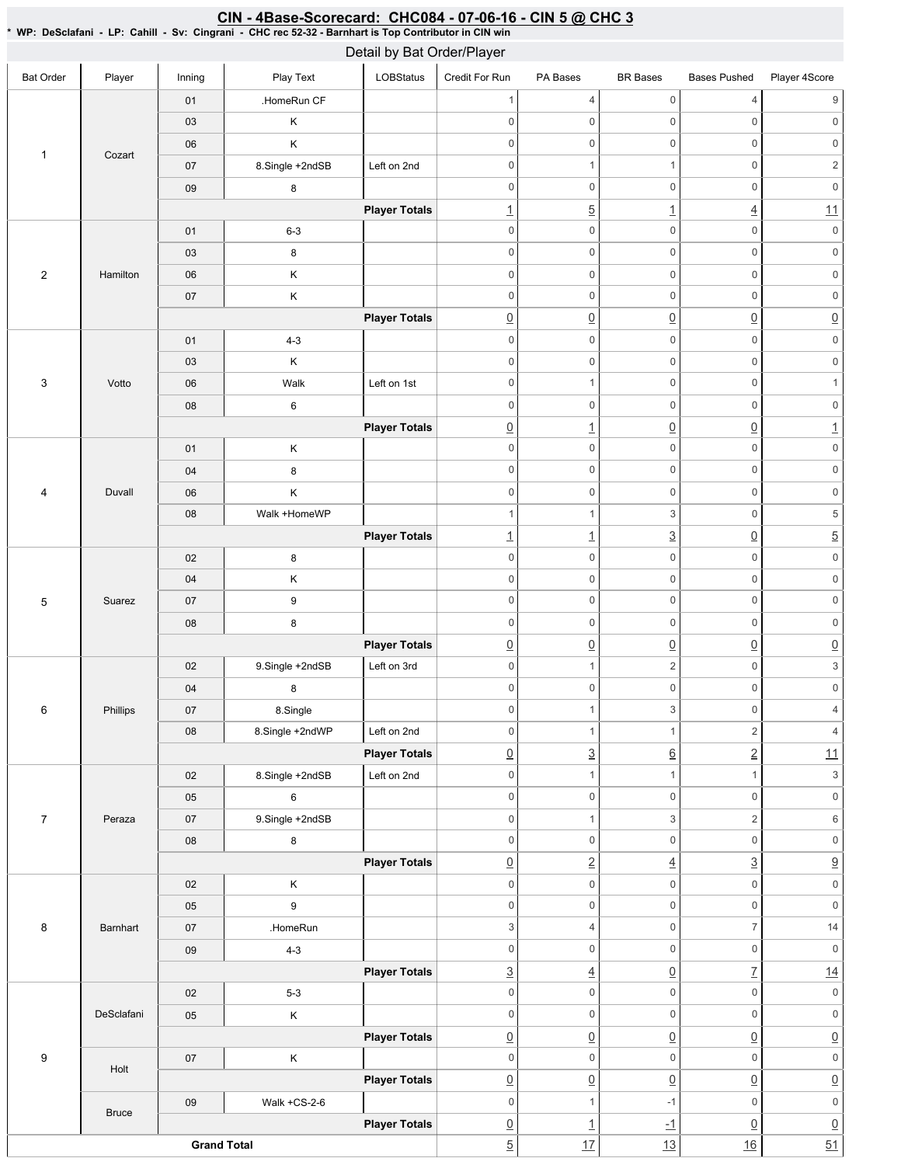|                         |              |                    |                  | Detail by Bat Order/Player |                                        |                                       |                                       |                                        |                                        |
|-------------------------|--------------|--------------------|------------------|----------------------------|----------------------------------------|---------------------------------------|---------------------------------------|----------------------------------------|----------------------------------------|
| <b>Bat Order</b>        | Player       | Inning             | Play Text        | LOBStatus                  | Credit For Run                         | PA Bases                              | <b>BR</b> Bases                       | <b>Bases Pushed</b>                    | Player 4Score                          |
|                         |              | 01                 | .HomeRun CF      |                            | 1                                      | $\overline{4}$                        | $\pmb{0}$                             | $\overline{4}$                         | $9\,$                                  |
|                         |              | 03                 | $\sf K$          |                            | $\mathbf 0$                            | $\mathsf{O}\xspace$                   | $\mathsf{O}\xspace$                   | $\mathbf 0$                            | $\mathsf{O}\xspace$                    |
| $\mathbf{1}$            |              | 06                 | $\sf K$          |                            | $\mathbf 0$                            | $\mathsf{O}\xspace$                   | $\mathsf{O}\xspace$                   | $\mathsf{O}\xspace$                    | $\mathsf{O}\xspace$                    |
|                         | Cozart       | 07                 | 8.Single +2ndSB  | Left on 2nd                | $\mathbb O$                            | $\mathbf{1}$                          | $\mathbf{1}$                          | $\mathsf 0$                            | $\sqrt{2}$                             |
|                         |              | 09                 | $\bf 8$          |                            | $\mathbb O$                            | $\mathsf{O}\xspace$                   | $\mathsf{O}\xspace$                   | $\mathsf{O}\xspace$                    | $\mathsf{O}\xspace$                    |
|                         |              |                    |                  | <b>Player Totals</b>       | $\overline{1}$                         | $\overline{5}$                        | $\overline{1}$                        | $\underline{4}$                        | 11                                     |
|                         |              | 01                 | $6 - 3$          |                            | $\mathbf 0$                            | $\mathsf{O}\xspace$                   | $\mathsf{O}\xspace$                   | $\mathbf 0$                            | $\mathsf{O}\xspace$                    |
|                         |              | $03\,$             | 8                |                            | $\mathbf 0$                            | $\mathsf{O}\xspace$                   | $\mathsf 0$                           | $\mathbb O$                            | $\mathbb O$                            |
| $\overline{c}$          | Hamilton     | 06                 | Κ                |                            | $\mathbf 0$                            | $\mathsf{O}\xspace$                   | $\mathsf 0$                           | $\mathbf 0$                            | $\mathsf{O}\xspace$                    |
|                         |              | 07                 | $\mathsf K$      |                            | $\mathbf 0$                            | $\mathsf{O}\xspace$                   | $\mathsf 0$                           | $\mathbf 0$                            | $\mathsf{O}\xspace$                    |
|                         |              |                    |                  | <b>Player Totals</b>       | $\underline{0}$                        | $\underline{0}$                       | $\overline{0}$                        | $\underline{0}$                        | $\underline{0}$                        |
|                         |              | 01                 | $4 - 3$          |                            | $\mathsf 0$                            | $\mathsf{O}\xspace$                   | $\mathsf{O}\xspace$                   | $\mathsf{O}\xspace$                    | $\mathsf{O}\xspace$                    |
|                         |              | 03                 | Κ                |                            | $\mathbf 0$                            | $\mathsf{O}\xspace$                   | $\mathsf{O}\xspace$                   | $\mathsf{O}\xspace$                    | $\mathsf{O}\xspace$                    |
| 3                       | Votto        | 06                 | Walk             | Left on 1st                | $\mathbf 0$                            | $\mathbf{1}$                          | $\mathsf 0$                           | $\mathbf 0$                            | $\mathbf{1}$                           |
|                         |              | 08                 | 6                |                            | $\mathbf 0$                            | $\mathsf{O}\xspace$                   | $\mathsf 0$                           | $\mathbf 0$                            | $\mathsf{O}\xspace$                    |
|                         |              |                    |                  | <b>Player Totals</b>       | $\underline{0}$                        | $\overline{1}$                        | $\overline{0}$                        | $\underline{0}$                        | $\overline{1}$                         |
|                         |              | 01                 | $\sf K$          |                            | $\mathbf 0$                            | $\mathsf{O}\xspace$                   | $\mathbf 0$                           | $\mathsf{O}\xspace$                    | $\mathsf{O}\xspace$                    |
|                         |              | 04                 | $\bf 8$          |                            | $\mathsf{O}\xspace$                    | $\mathsf{O}\xspace$                   | $\mathsf{O}\xspace$                   | $\mathsf{O}\xspace$                    | $\mathsf{O}\xspace$                    |
| $\overline{\mathbf{4}}$ | Duvall       | 06                 | $\sf K$          |                            | $\mathbf 0$                            | $\mathsf{O}\xspace$                   | $\mathsf{O}\xspace$                   | $\mathsf{O}\xspace$                    | $\mathsf{O}\xspace$                    |
|                         |              | 08                 | Walk +HomeWP     |                            | $\mathbf{1}$                           | $\mathbf{1}$                          | 3                                     | $\mathsf{O}\xspace$                    | $\,$ 5 $\,$                            |
|                         |              |                    |                  | <b>Player Totals</b>       | $\overline{1}$                         | $\overline{1}$                        | $\underline{3}$                       | $\underline{0}$                        | $\overline{5}$                         |
| 5                       |              | 02                 | 8                |                            | $\mathbf 0$                            | $\mathsf{O}\xspace$                   | $\mathsf 0$                           | $\mathbf 0$                            | $\mathsf 0$                            |
|                         |              | 04                 | Κ                |                            | $\mathsf 0$                            | $\mathsf{O}\xspace$                   | $\mathsf 0$                           | $\mathbf 0$                            | $\mathsf{O}\xspace$                    |
|                         | Suarez       | 07                 | $\boldsymbol{9}$ |                            | $\mathbf 0$                            | $\mathsf{O}\xspace$                   | $\mathsf{O}\xspace$                   | $\mathsf{O}\xspace$                    | $\mathsf{O}\xspace$                    |
|                         |              | 08                 | $\bf 8$          |                            | $\mathbf 0$                            | $\mathsf{O}\xspace$                   | $\mathsf 0$                           | $\mathsf{O}\xspace$                    | $\mathsf{O}\xspace$                    |
|                         |              |                    |                  | <b>Player Totals</b>       | $\underline{0}$                        | $\underline{0}$                       | $\overline{0}$                        | $\underline{0}$                        | $\underline{0}$                        |
|                         |              | 02                 | 9.Single +2ndSB  | Left on 3rd                | $\mathbf 0$                            | $\mathbf{1}$                          | $\overline{\mathbf{c}}$               | $\mathsf{O}\xspace$                    | $\ensuremath{\mathsf{3}}$              |
|                         |              | 04                 | 8                |                            | $\mathbf 0$                            | $\mathsf{O}\xspace$                   | 0                                     | $\mathsf 0$                            | $\mathsf{O}\xspace$                    |
| 6                       | Phillips     | 07                 | 8.Single         |                            | $\mathbf 0$                            | $\mathbf{1}$                          | 3                                     | $\mathsf{O}\xspace$                    | $\overline{4}$                         |
|                         |              | ${\bf 08}$         | 8.Single +2ndWP  | Left on 2nd                | $\mathbf 0$                            | $\mathbf{1}$                          | $\mathbf{1}$                          | $\overline{c}$                         | $\overline{4}$                         |
|                         |              |                    |                  | <b>Player Totals</b>       | $\underline{0}$                        | $\underline{3}$                       | $\underline{6}$                       | $\underline{2}$                        | 11                                     |
|                         |              | 02                 | 8.Single +2ndSB  | Left on 2nd                | $\mathbf 0$                            | $\mathbf{1}$                          | $\mathbf{1}$                          | $\mathbf{1}$                           | $\mathsf 3$                            |
|                         |              | 05                 | 6                |                            | $\mathsf{O}\xspace$                    | $\mathsf{O}\xspace$<br>$\mathbf{1}$   | $\mathbf 0$                           | $\mathsf{O}\xspace$                    | $\mathsf{O}\xspace$                    |
| $\overline{7}$          | Peraza       | $07\,$             | 9.Single +2ndSB  |                            | $\mathbf 0$<br>$\mathsf 0$             | $\mathsf{O}\xspace$                   | 3<br>$\mathsf{O}\xspace$              | $\overline{2}$<br>$\mathsf{O}\xspace$  | $\,6\,$<br>$\mathsf{O}\xspace$         |
|                         |              | ${\bf 08}$         | $\bf 8$          |                            |                                        |                                       |                                       |                                        |                                        |
|                         |              | 02                 | Κ                | <b>Player Totals</b>       | $\underline{0}$<br>$\mathsf{O}\xspace$ | $\overline{2}$<br>$\mathsf{O}\xspace$ | $\overline{4}$<br>$\mathsf{O}\xspace$ | $\underline{3}$<br>$\mathsf{O}\xspace$ | $\underline{9}$<br>$\mathsf{O}\xspace$ |
|                         |              | 05                 | 9                |                            | $\mathbf 0$                            | $\mathsf{O}\xspace$                   | $\mathsf 0$                           | $\mathbf 0$                            | $\mathsf{O}\xspace$                    |
| 8                       | Barnhart     | 07                 | .HomeRun         |                            | 3                                      | $\overline{4}$                        | $\mathsf{O}\xspace$                   | $\overline{7}$                         | 14                                     |
|                         |              | $09\,$             | $4 - 3$          |                            | $\mathbf 0$                            | $\mathsf{O}\xspace$                   | $\mathsf 0$                           | $\mathbf 0$                            | $\mathsf{0}$                           |
|                         |              |                    |                  | <b>Player Totals</b>       | $\underline{3}$                        | $\overline{4}$                        | $\underline{0}$                       | $\underline{7}$                        | 14                                     |
|                         |              | $02\,$             | $5 - 3$          |                            | $\mathsf 0$                            | $\mathsf{O}\xspace$                   | $\mathsf 0$                           | $\mathsf{O}\xspace$                    | $\mathsf{O}\xspace$                    |
|                         | DeSclafani   | 05                 | Κ                |                            | $\mathsf 0$                            | $\mathsf{O}\xspace$                   | $\mathsf 0$                           | $\mathsf{O}\xspace$                    | $\mathsf{O}\xspace$                    |
|                         |              |                    |                  | <b>Player Totals</b>       | $\underline{0}$                        | $\underline{0}$                       | $\underline{0}$                       | $\underline{0}$                        | $\underline{0}$                        |
| $\boldsymbol{9}$        |              | $07\,$             | $\sf K$          |                            | $\mathbf 0$                            | $\mathsf{O}\xspace$                   | $\mathsf 0$                           | $\mathsf{O}$                           | $\mathsf{O}\xspace$                    |
|                         | Holt         |                    |                  | <b>Player Totals</b>       | $\underline{0}$                        | $\underline{0}$                       | $\underline{0}$                       | $\underline{0}$                        | $\underline{0}$                        |
|                         |              | 09                 | Walk +CS-2-6     |                            | $\mathbf 0$                            | $\mathbf{1}$                          | $-1$                                  | $\mathsf{O}\xspace$                    | $\mathsf{O}\xspace$                    |
|                         | <b>Bruce</b> |                    |                  | <b>Player Totals</b>       | $\underline{0}$                        | $\overline{1}$                        | $\overline{-1}$                       | $\underline{0}$                        | $\underline{0}$                        |
|                         |              | <b>Grand Total</b> |                  |                            | $\overline{5}$                         | 17                                    | 13                                    | 16                                     | 51                                     |

#### CIN - 4Base-Scorecard: CHC084 - 07-06-16 - CIN 5 @ CHC 3

\* WP: DeSclafani-LP: Cahill-Sv: Cingrani-CHC rec 52-32 - Barnhart is Top Contributor in CIN win